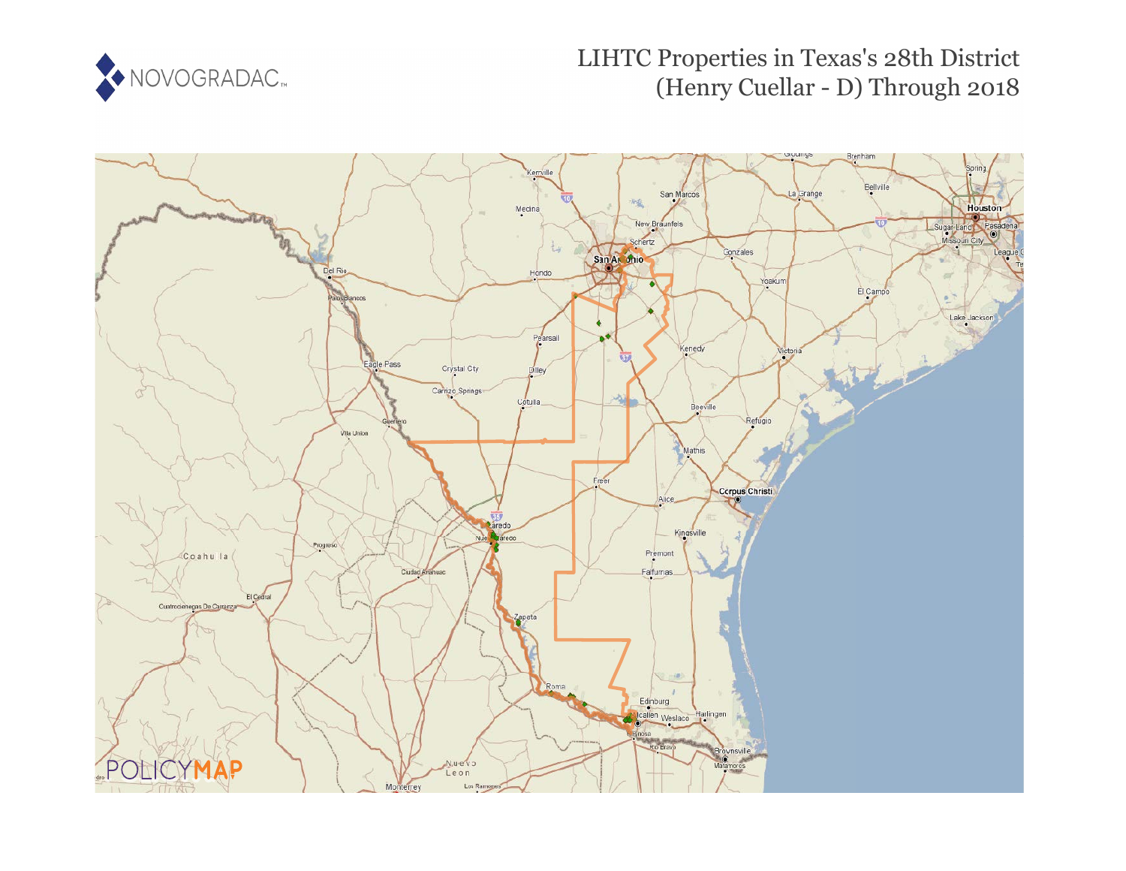

# LIHTC Properties in Texas's 28th District (Henry Cuellar - D) Through 2018

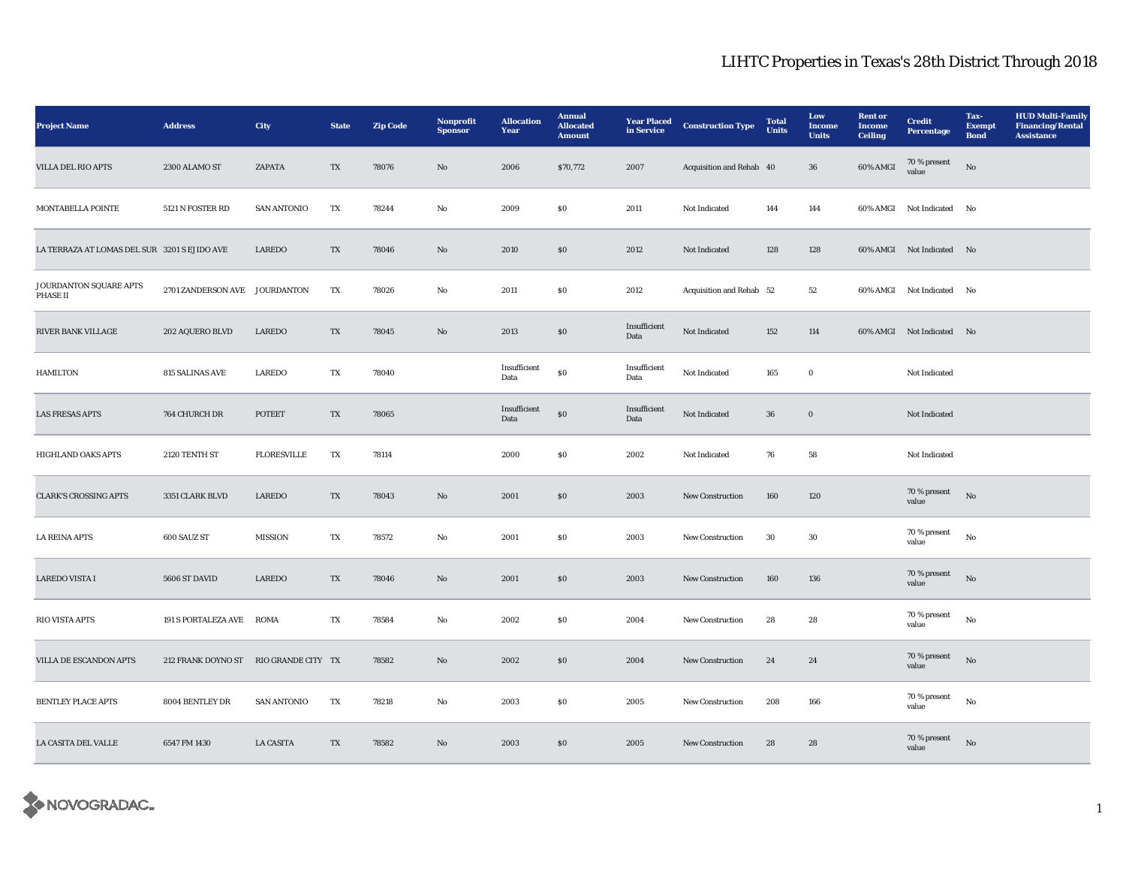| <b>Project Name</b>                          | <b>Address</b>                        | <b>City</b>        | <b>State</b> | <b>Zip Code</b> | Nonprofit<br><b>Sponsor</b> | <b>Allocation</b><br>Year | <b>Annual</b><br><b>Allocated</b><br><b>Amount</b> | <b>Year Placed</b><br>in Service | <b>Construction Type</b> | <b>Total</b><br><b>Units</b> | Low<br>Income<br><b>Units</b> | <b>Rent</b> or<br>Income<br><b>Ceiling</b> | <b>Credit</b><br><b>Percentage</b> | Tax-<br><b>Exempt</b><br><b>Bond</b> | <b>HUD Multi-Family</b><br><b>Financing/Rental</b><br><b>Assistance</b> |
|----------------------------------------------|---------------------------------------|--------------------|--------------|-----------------|-----------------------------|---------------------------|----------------------------------------------------|----------------------------------|--------------------------|------------------------------|-------------------------------|--------------------------------------------|------------------------------------|--------------------------------------|-------------------------------------------------------------------------|
| VILLA DEL RIO APTS                           | 2300 ALAMO ST                         | ZAPATA             | TX           | 78076           | No                          | 2006                      | \$70,772                                           | 2007                             | Acquisition and Rehab 40 |                              | $36\,$                        | 60% AMGI                                   | 70 % present<br>value              | $\rm No$                             |                                                                         |
| MONTABELLA POINTE                            | 5121 N FOSTER RD                      | <b>SAN ANTONIO</b> | TX           | 78244           | No                          | 2009                      | ${\bf S0}$                                         | 2011                             | Not Indicated            | 144                          | 144                           |                                            | 60% AMGI Not Indicated             | No                                   |                                                                         |
| LA TERRAZA AT LOMAS DEL SUR 3201 S EJIDO AVE |                                       | <b>LAREDO</b>      | TX           | 78046           | $\mathbf{N}\mathbf{o}$      | 2010                      | $\$0$                                              | 2012                             | Not Indicated            | 128                          | 128                           |                                            | 60% AMGI Not Indicated No          |                                      |                                                                         |
| JOURDANTON SQUARE APTS<br>PHASE II           | 2701 ZANDERSON AVE JOURDANTON         |                    | TX           | 78026           | No                          | 2011                      | \$0\$                                              | 2012                             | Acquisition and Rehab 52 |                              | 52                            |                                            | 60% AMGI Not Indicated No          |                                      |                                                                         |
| <b>RIVER BANK VILLAGE</b>                    | 202 AQUERO BLVD                       | <b>LAREDO</b>      | TX           | 78045           | No                          | 2013                      | $\boldsymbol{\mathsf{S}}\boldsymbol{\mathsf{0}}$   | Insufficient<br>Data             | Not Indicated            | 152                          | 114                           |                                            | 60% AMGI Not Indicated No          |                                      |                                                                         |
| <b>HAMILTON</b>                              | 815 SALINAS AVE                       | <b>LAREDO</b>      | TX           | 78040           |                             | Insufficient<br>Data      | ${\bf S0}$                                         | Insufficient<br>Data             | Not Indicated            | 165                          | $\bf{0}$                      |                                            | Not Indicated                      |                                      |                                                                         |
| <b>LAS FRESAS APTS</b>                       | 764 CHURCH DR                         | <b>POTEET</b>      | TX           | 78065           |                             | Insufficient<br>Data      | ${\bf S0}$                                         | Insufficient<br>Data             | Not Indicated            | 36                           | $\boldsymbol{0}$              |                                            | Not Indicated                      |                                      |                                                                         |
| <b>HIGHLAND OAKS APTS</b>                    | 2120 TENTH ST                         | <b>FLORESVILLE</b> | TX           | 78114           |                             | 2000                      | \$0\$                                              | 2002                             | Not Indicated            | 76                           | 58                            |                                            | Not Indicated                      |                                      |                                                                         |
| <b>CLARK'S CROSSING APTS</b>                 | 3351 CLARK BLVD                       | LAREDO             | TX           | 78043           | No                          | 2001                      | \$0\$                                              | 2003                             | New Construction         | 160                          | 120                           |                                            | 70 % present<br>value              | No                                   |                                                                         |
| <b>LA REINA APTS</b>                         | 600 SAUZ ST                           | <b>MISSION</b>     | TX           | 78572           | No                          | 2001                      | \$0                                                | 2003                             | <b>New Construction</b>  | 30                           | 30                            |                                            | 70 % present<br>value              | No                                   |                                                                         |
| <b>LAREDO VISTA I</b>                        | 5606 ST DAVID                         | LAREDO             | TX           | 78046           | No                          | 2001                      | \$0\$                                              | 2003                             | New Construction         | 160                          | 136                           |                                            | 70 % present<br>value              | $\rm No$                             |                                                                         |
| RIO VISTA APTS                               | 191 S PORTALEZA AVE ROMA              |                    | TX           | 78584           | No                          | 2002                      | \$0\$                                              | 2004                             | New Construction         | 28                           | 28                            |                                            | 70 % present<br>value              | $\rm No$                             |                                                                         |
| VILLA DE ESCANDON APTS                       | 212 FRANK DOYNO ST RIO GRANDE CITY TX |                    |              | 78582           | No                          | 2002                      | \$0\$                                              | 2004                             | New Construction         | 24                           | 24                            |                                            | 70 % present<br>value              | $_{\rm No}$                          |                                                                         |
| <b>BENTLEY PLACE APTS</b>                    | 8004 BENTLEY DR                       | <b>SAN ANTONIO</b> | TX           | 78218           | No                          | 2003                      | \$0\$                                              | 2005                             | New Construction         | 208                          | 166                           |                                            | 70 % present<br>value              | $_{\rm No}$                          |                                                                         |
| LA CASITA DEL VALLE                          | 6547 FM 1430                          | <b>LA CASITA</b>   | TX           | 78582           | $\mathbf{No}$               | 2003                      | $\$0$                                              | 2005                             | New Construction         | 28                           | ${\bf 28}$                    |                                            | 70 % present<br>value              | $\rm No$                             |                                                                         |

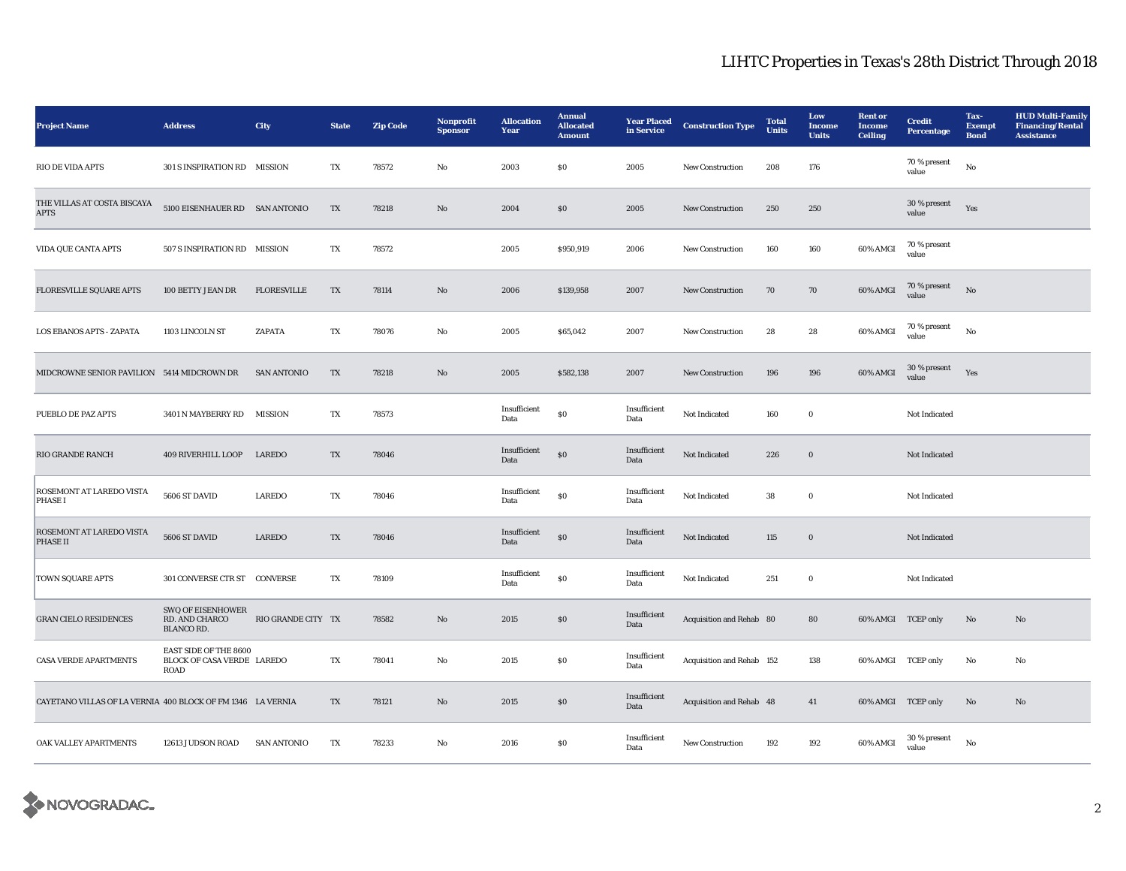| <b>Project Name</b>                                         | <b>Address</b>                                                     | <b>City</b>        | <b>State</b> | <b>Zip Code</b> | Nonprofit<br><b>Sponsor</b> | <b>Allocation</b><br>Year | <b>Annual</b><br><b>Allocated</b><br><b>Amount</b> | <b>Year Placed</b><br>in Service | <b>Construction Type</b>  | <b>Total</b><br><b>Units</b> | Low<br><b>Income</b><br><b>Units</b> | <b>Rent</b> or<br><b>Income</b><br><b>Ceiling</b> | <b>Credit</b><br><b>Percentage</b> | Tax-<br><b>Exempt</b><br><b>Bond</b> | <b>HUD Multi-Family</b><br><b>Financing/Rental</b><br><b>Assistance</b> |
|-------------------------------------------------------------|--------------------------------------------------------------------|--------------------|--------------|-----------------|-----------------------------|---------------------------|----------------------------------------------------|----------------------------------|---------------------------|------------------------------|--------------------------------------|---------------------------------------------------|------------------------------------|--------------------------------------|-------------------------------------------------------------------------|
| RIO DE VIDA APTS                                            | 301 S INSPIRATION RD MISSION                                       |                    | TX           | 78572           | No                          | 2003                      | <b>SO</b>                                          | 2005                             | <b>New Construction</b>   | 208                          | 176                                  |                                                   | 70 % present<br>value              | $\mathbf{No}$                        |                                                                         |
| THE VILLAS AT COSTA BISCAYA<br><b>APTS</b>                  | 5100 EISENHAUER RD SAN ANTONIO                                     |                    | TX           | 78218           | No                          | 2004                      | \$0\$                                              | 2005                             | <b>New Construction</b>   | 250                          | 250                                  |                                                   | 30 % present<br>value              | Yes                                  |                                                                         |
| VIDA QUE CANTA APTS                                         | 507 S INSPIRATION RD MISSION                                       |                    | TX           | 78572           |                             | 2005                      | \$950,919                                          | 2006                             | <b>New Construction</b>   | 160                          | 160                                  | 60% AMGI                                          | 70 % present<br>value              |                                      |                                                                         |
| <b>FLORESVILLE SQUARE APTS</b>                              | 100 BETTY JEAN DR                                                  | <b>FLORESVILLE</b> | TX           | 78114           | $\mathbf{N}\mathbf{o}$      | 2006                      | \$139,958                                          | 2007                             | <b>New Construction</b>   | 70                           | 70                                   | 60% AMGI                                          | 70 % present<br>value              | $\rm No$                             |                                                                         |
| <b>LOS EBANOS APTS - ZAPATA</b>                             | 1103 LINCOLN ST                                                    | ZAPATA             | TX           | 78076           | No                          | 2005                      | \$65,042                                           | 2007                             | New Construction          | 28                           | 28                                   | 60% AMGI                                          | 70 % present<br>value              | $\rm No$                             |                                                                         |
| MIDCROWNE SENIOR PAVILION 5414 MIDCROWN DR                  |                                                                    | <b>SAN ANTONIO</b> | TX           | 78218           | No                          | 2005                      | \$582,138                                          | 2007                             | New Construction          | 196                          | 196                                  | 60% AMGI                                          | $30$ % present<br>value            | Yes                                  |                                                                         |
| PUEBLO DE PAZ APTS                                          | 3401 N MAYBERRY RD MISSION                                         |                    | TX           | 78573           |                             | Insufficient<br>Data      | $\$0$                                              | Insufficient<br>Data             | Not Indicated             | 160                          | $\bf{0}$                             |                                                   | Not Indicated                      |                                      |                                                                         |
| RIO GRANDE RANCH                                            | <b>409 RIVERHILL LOOP</b>                                          | LAREDO             | TX           | 78046           |                             | Insufficient<br>Data      | $\$0$                                              | Insufficient<br>Data             | Not Indicated             | 226                          | $\mathbf 0$                          |                                                   | Not Indicated                      |                                      |                                                                         |
| ROSEMONT AT LAREDO VISTA<br>PHASE I                         | 5606 ST DAVID                                                      | <b>LAREDO</b>      | TX           | 78046           |                             | Insufficient<br>Data      | ${\bf S0}$                                         | Insufficient<br>Data             | Not Indicated             | 38                           | $\bf{0}$                             |                                                   | Not Indicated                      |                                      |                                                                         |
| ROSEMONT AT LAREDO VISTA<br>PHASE II                        | 5606 ST DAVID                                                      | LAREDO             | TX           | 78046           |                             | Insufficient<br>Data      | ${\bf S0}$                                         | Insufficient<br>Data             | Not Indicated             | 115                          | $\bf{0}$                             |                                                   | Not Indicated                      |                                      |                                                                         |
| TOWN SQUARE APTS                                            | 301 CONVERSE CTR ST CONVERSE                                       |                    | TX           | 78109           |                             | Insufficient<br>Data      | \$0                                                | Insufficient<br>Data             | Not Indicated             | 251                          | $\bf{0}$                             |                                                   | Not Indicated                      |                                      |                                                                         |
| <b>GRAN CIELO RESIDENCES</b>                                | SWQ OF EISENHOWER<br>RD. AND CHARCO<br><b>BLANCO RD.</b>           | RIO GRANDE CITY TX |              | 78582           | No                          | 2015                      | S <sub>0</sub>                                     | Insufficient<br>Data             | Acquisition and Rehab 80  |                              | 80                                   | 60% AMGI TCEP only                                |                                    | No                                   | No                                                                      |
| <b>CASA VERDE APARTMENTS</b>                                | EAST SIDE OF THE 8600<br>BLOCK OF CASA VERDE LAREDO<br><b>ROAD</b> |                    | TX           | 78041           | $_{\rm No}$                 | 2015                      | $\$0$                                              | Insufficient<br>Data             | Acquisition and Rehab 152 |                              | 138                                  | 60% AMGI TCEP only                                |                                    | $\rm No$                             | $\rm No$                                                                |
| CAYETANO VILLAS OF LA VERNIA 400 BLOCK OF FM 1346 LA VERNIA |                                                                    |                    | TX           | 78121           | $\mathbf{N}\mathbf{o}$      | 2015                      | S <sub>0</sub>                                     | Insufficient<br>Data             | Acquisition and Rehab 48  |                              | 41                                   | 60% AMGI TCEP only                                |                                    | $\mathbf{No}$                        | No                                                                      |
| OAK VALLEY APARTMENTS                                       | 12613 JUDSON ROAD                                                  | <b>SAN ANTONIO</b> | TX           | 78233           | No                          | 2016                      | \$0                                                | Insufficient<br>Data             | <b>New Construction</b>   | 192                          | 192                                  | 60% AMGI                                          | 30 % present<br>value              | No                                   |                                                                         |

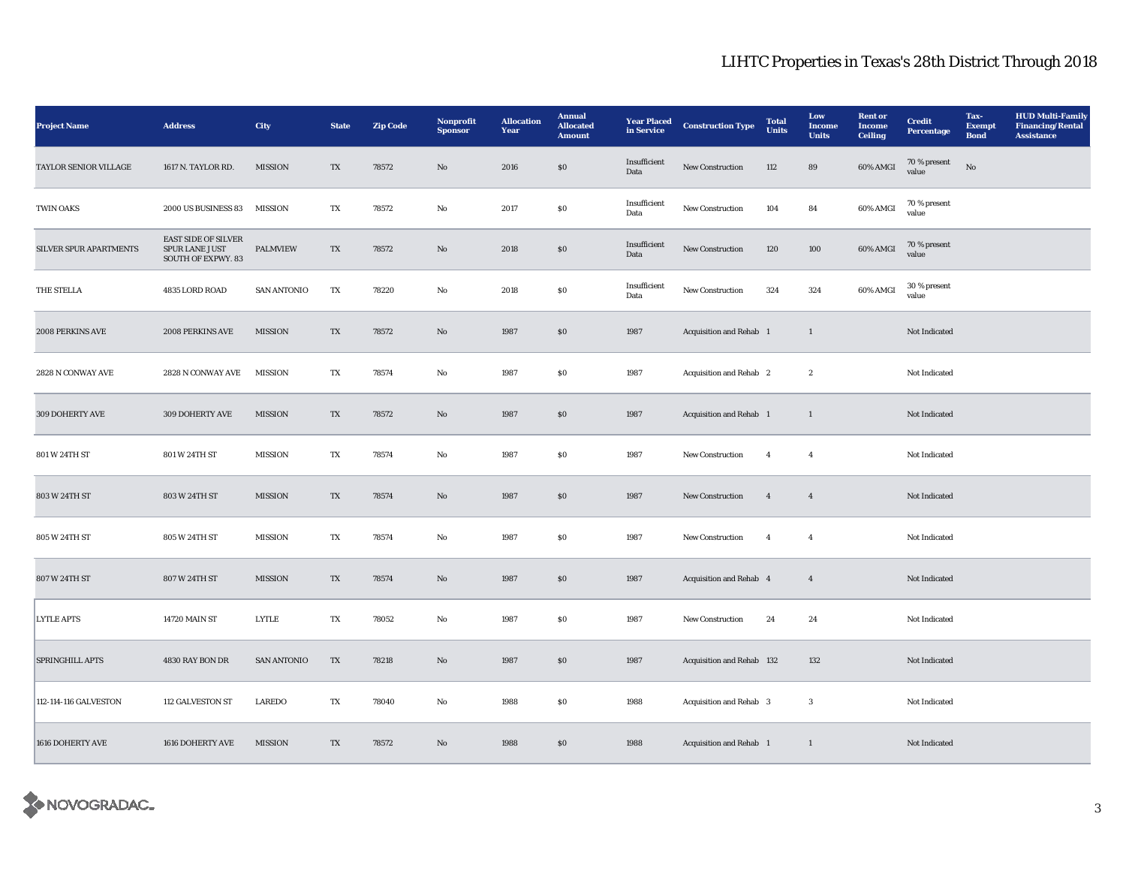| <b>Project Name</b>    | <b>Address</b>                                                     | City               | <b>State</b> | <b>Zip Code</b> | Nonprofit<br><b>Sponsor</b> | <b>Allocation</b><br>Year | <b>Annual</b><br><b>Allocated</b><br><b>Amount</b> | <b>Year Placed</b><br>in Service | <b>Construction Type</b>  | <b>Total</b><br><b>Units</b> | Low<br>Income<br><b>Units</b> | <b>Rent</b> or<br><b>Income</b><br><b>Ceiling</b> | <b>Credit</b><br>Percentage | Tax-<br><b>Exempt</b><br><b>Bond</b> | <b>HUD Multi-Family</b><br><b>Financing/Rental</b><br><b>Assistance</b> |
|------------------------|--------------------------------------------------------------------|--------------------|--------------|-----------------|-----------------------------|---------------------------|----------------------------------------------------|----------------------------------|---------------------------|------------------------------|-------------------------------|---------------------------------------------------|-----------------------------|--------------------------------------|-------------------------------------------------------------------------|
| TAYLOR SENIOR VILLAGE  | 1617 N. TAYLOR RD.                                                 | <b>MISSION</b>     | TX           | 78572           | No                          | 2016                      | $\boldsymbol{\mathsf{S}}\boldsymbol{\mathsf{0}}$   | Insufficient<br>Data             | New Construction          | 112                          | 89                            | 60% AMGI                                          | 70 % present<br>value       | No                                   |                                                                         |
| <b>TWIN OAKS</b>       | 2000 US BUSINESS 83                                                | MISSION            | TX           | 78572           | No                          | 2017                      | $\boldsymbol{\mathsf{S}}\boldsymbol{\mathsf{0}}$   | Insufficient<br>Data             | New Construction          | 104                          | 84                            | 60% AMGI                                          | 70 % present<br>value       |                                      |                                                                         |
| SILVER SPUR APARTMENTS | EAST SIDE OF SILVER<br>SPUR LANE JUST<br><b>SOUTH OF EXPWY. 83</b> | <b>PALMVIEW</b>    | TX           | 78572           | No                          | 2018                      | $\boldsymbol{\mathsf{S}}\boldsymbol{\mathsf{0}}$   | Insufficient<br>Data             | New Construction          | 120                          | 100                           | 60% AMGI                                          | 70 % present<br>value       |                                      |                                                                         |
| THE STELLA             | 4835 LORD ROAD                                                     | <b>SAN ANTONIO</b> | TX           | 78220           | $_{\rm No}$                 | 2018                      | S <sub>0</sub>                                     | Insufficient<br>Data             | New Construction          | 324                          | 324                           | 60% AMGI                                          | 30 % present<br>value       |                                      |                                                                         |
| 2008 PERKINS AVE       | 2008 PERKINS AVE                                                   | <b>MISSION</b>     | TX           | 78572           | No                          | 1987                      | \$0\$                                              | 1987                             | Acquisition and Rehab 1   |                              | $\mathbf{1}$                  |                                                   | Not Indicated               |                                      |                                                                         |
| 2828 N CONWAY AVE      | 2828 N CONWAY AVE                                                  | <b>MISSION</b>     | TX           | 78574           | $_{\rm No}$                 | 1987                      | S <sub>0</sub>                                     | 1987                             | Acquisition and Rehab 2   |                              | $\,$ 2 $\,$                   |                                                   | Not Indicated               |                                      |                                                                         |
| 309 DOHERTY AVE        | 309 DOHERTY AVE                                                    | <b>MISSION</b>     | TX           | 78572           | $\mathbf{No}$               | 1987                      | SO                                                 | 1987                             | Acquisition and Rehab 1   |                              | $\mathbf{1}$                  |                                                   | Not Indicated               |                                      |                                                                         |
| 801 W 24TH ST          | 801 W 24TH ST                                                      | <b>MISSION</b>     | TX           | 78574           | $\rm No$                    | 1987                      | $\boldsymbol{\mathsf{S}}\boldsymbol{\mathsf{0}}$   | 1987                             | New Construction          | $\overline{4}$               | $\overline{4}$                |                                                   | Not Indicated               |                                      |                                                                         |
| 803 W 24TH ST          | 803 W 24TH ST                                                      | <b>MISSION</b>     | TX           | 78574           | No                          | 1987                      | S <sub>0</sub>                                     | 1987                             | <b>New Construction</b>   | $\overline{4}$               | $\overline{4}$                |                                                   | Not Indicated               |                                      |                                                                         |
| 805 W 24TH ST          | 805 W 24TH ST                                                      | MISSION            | TX           | 78574           | $\rm No$                    | 1987                      | $\boldsymbol{\mathsf{S}}\boldsymbol{\mathsf{0}}$   | 1987                             | New Construction          | $\overline{4}$               | $\overline{4}$                |                                                   | Not Indicated               |                                      |                                                                         |
| 807 W 24TH ST          | 807 W 24TH ST                                                      | <b>MISSION</b>     | TX           | 78574           | No                          | 1987                      | S <sub>0</sub>                                     | 1987                             | Acquisition and Rehab 4   |                              | $\overline{4}$                |                                                   | Not Indicated               |                                      |                                                                         |
| <b>LYTLE APTS</b>      | 14720 MAIN ST                                                      | <b>LYTLE</b>       | TX           | 78052           | No                          | 1987                      | S <sub>0</sub>                                     | 1987                             | New Construction          | 24                           | 24                            |                                                   | Not Indicated               |                                      |                                                                         |
| SPRINGHILL APTS        | 4830 RAY BON DR                                                    | <b>SAN ANTONIO</b> | TX           | 78218           | No                          | 1987                      | S <sub>0</sub>                                     | 1987                             | Acquisition and Rehab 132 |                              | 132                           |                                                   | Not Indicated               |                                      |                                                                         |
| 112-114-116 GALVESTON  | 112 GALVESTON ST                                                   | <b>LAREDO</b>      | TX           | 78040           | No                          | 1988                      | SO.                                                | 1988                             | Acquisition and Rehab 3   |                              | $\mathbf{3}$                  |                                                   | Not Indicated               |                                      |                                                                         |
| 1616 DOHERTY AVE       | 1616 DOHERTY AVE                                                   | <b>MISSION</b>     | TX           | 78572           | $\mathbf{N}\mathbf{o}$      | 1988                      | SO                                                 | 1988                             | Acquisition and Rehab 1   |                              | $\mathbf{1}$                  |                                                   | Not Indicated               |                                      |                                                                         |

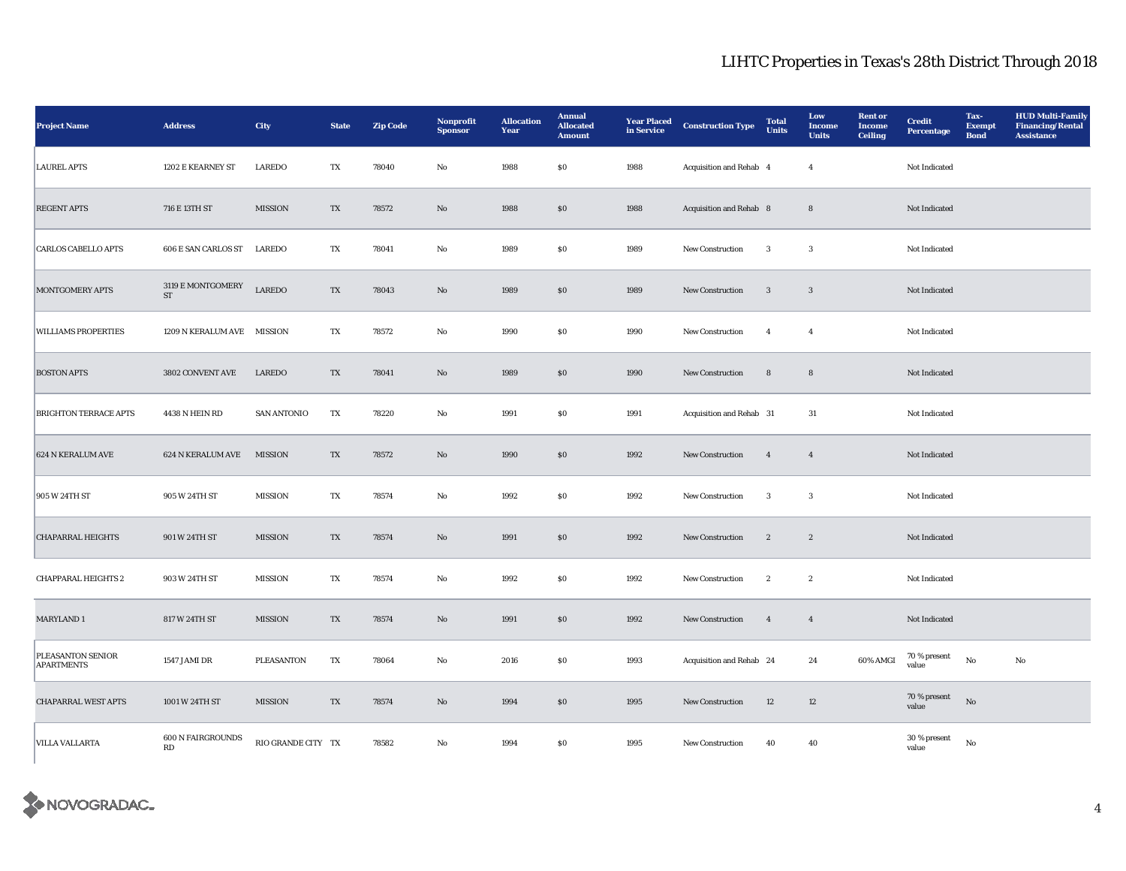| <b>Project Name</b>                    | <b>Address</b>                  | City               | <b>State</b>            | <b>Zip Code</b> | <b>Nonprofit</b><br><b>Sponsor</b> | <b>Allocation</b><br>Year | <b>Annual</b><br><b>Allocated</b><br><b>Amount</b> | <b>Year Placed</b><br>in Service | <b>Construction Type</b>       | <b>Total</b><br>Units | Low<br>Income<br><b>Units</b> | <b>Rent</b> or<br><b>Income</b><br><b>Ceiling</b> | <b>Credit</b><br>Percentage | Tax-<br><b>Exempt</b><br><b>Bond</b> | <b>HUD Multi-Family</b><br><b>Financing/Rental</b><br><b>Assistance</b> |
|----------------------------------------|---------------------------------|--------------------|-------------------------|-----------------|------------------------------------|---------------------------|----------------------------------------------------|----------------------------------|--------------------------------|-----------------------|-------------------------------|---------------------------------------------------|-----------------------------|--------------------------------------|-------------------------------------------------------------------------|
| <b>LAUREL APTS</b>                     | 1202 E KEARNEY ST               | <b>LAREDO</b>      | TX                      | 78040           | No                                 | 1988                      | <b>SO</b>                                          | 1988                             | Acquisition and Rehab 4        |                       | $\overline{4}$                |                                                   | Not Indicated               |                                      |                                                                         |
| <b>REGENT APTS</b>                     | 716 E 13TH ST                   | <b>MISSION</b>     | TX                      | 78572           | No                                 | 1988                      | \$0                                                | 1988                             | <b>Acquisition and Rehab 8</b> |                       | $\bf8$                        |                                                   | Not Indicated               |                                      |                                                                         |
| <b>CARLOS CABELLO APTS</b>             | 606 E SAN CARLOS ST LAREDO      |                    | TX                      | 78041           | No                                 | 1989                      | SO.                                                | 1989                             | New Construction               | 3                     | 3                             |                                                   | Not Indicated               |                                      |                                                                         |
| MONTGOMERY APTS                        | 3119 E MONTGOMERY<br>${\rm ST}$ | LAREDO             | TX                      | 78043           | $\mathbf{No}$                      | 1989                      | $\$0$                                              | 1989                             | New Construction               | $\mathbf{3}$          | $\sqrt{3}$                    |                                                   | Not Indicated               |                                      |                                                                         |
| <b>WILLIAMS PROPERTIES</b>             | 1209 N KERALUM AVE MISSION      |                    | TX                      | 78572           | No                                 | 1990                      | $\$0$                                              | 1990                             | New Construction               | $\overline{4}$        | $\overline{4}$                |                                                   | Not Indicated               |                                      |                                                                         |
| <b>BOSTON APTS</b>                     | 3802 CONVENT AVE                | <b>LAREDO</b>      | TX                      | 78041           | $\mathbf{No}$                      | 1989                      | $\$0$                                              | 1990                             | New Construction               | $\bf8$                | $\bf8$                        |                                                   | Not Indicated               |                                      |                                                                         |
| <b>BRIGHTON TERRACE APTS</b>           | 4438 N HEIN RD                  | <b>SAN ANTONIO</b> | TX                      | 78220           | No                                 | 1991                      | $\$0$                                              | 1991                             | Acquisition and Rehab 31       |                       | 31                            |                                                   | Not Indicated               |                                      |                                                                         |
| 624 N KERALUM AVE                      | 624 N KERALUM AVE               | <b>MISSION</b>     | $\mathbf{T} \mathbf{X}$ | 78572           | $\mathbf{No}$                      | 1990                      | $\$0$                                              | 1992                             | New Construction               | $\overline{4}$        | $\overline{4}$                |                                                   | Not Indicated               |                                      |                                                                         |
| 905 W 24TH ST                          | 905 W 24TH ST                   | <b>MISSION</b>     | TX                      | 78574           | No                                 | 1992                      | $\$0$                                              | 1992                             | New Construction               | 3                     | 3                             |                                                   | Not Indicated               |                                      |                                                                         |
| <b>CHAPARRAL HEIGHTS</b>               | 901 W 24TH ST                   | <b>MISSION</b>     | TX                      | 78574           | No                                 | 1991                      | \$0                                                | 1992                             | New Construction               | $\mathbf{2}$          | $\boldsymbol{2}$              |                                                   | Not Indicated               |                                      |                                                                         |
| <b>CHAPPARAL HEIGHTS 2</b>             | 903 W 24TH ST                   | <b>MISSION</b>     | TX                      | 78574           | No                                 | 1992                      | <b>SO</b>                                          | 1992                             | New Construction               | $\boldsymbol{2}$      | $\boldsymbol{2}$              |                                                   | Not Indicated               |                                      |                                                                         |
| MARYLAND 1                             | 817 W 24TH ST                   | <b>MISSION</b>     | TX                      | 78574           | No                                 | 1991                      | \$0                                                | 1992                             | New Construction               | $\overline{4}$        | $\overline{4}$                |                                                   | Not Indicated               |                                      |                                                                         |
| PLEASANTON SENIOR<br><b>APARTMENTS</b> | 1547 JAMI DR                    | PLEASANTON         | TX                      | 78064           | No                                 | 2016                      | $\$0$                                              | 1993                             | Acquisition and Rehab 24       |                       | 24                            | 60% AMGI                                          | 70 % present<br>value       | $_{\rm No}$                          | $\mathbf{No}$                                                           |
| <b>CHAPARRAL WEST APTS</b>             | 1001 W 24TH ST                  | <b>MISSION</b>     | TX                      | 78574           | No                                 | 1994                      | \$0                                                | 1995                             | <b>New Construction</b>        | 12                    | 12                            |                                                   | 70 % present<br>value       | No                                   |                                                                         |
| <b>VILLA VALLARTA</b>                  | <b>600 N FAIRGROUNDS</b><br>RD  | RIO GRANDE CITY TX |                         | 78582           | No                                 | 1994                      | <b>SO</b>                                          | 1995                             | <b>New Construction</b>        | 40                    | 40                            |                                                   | $30\,\%$ present<br>value   | $_{\rm No}$                          |                                                                         |